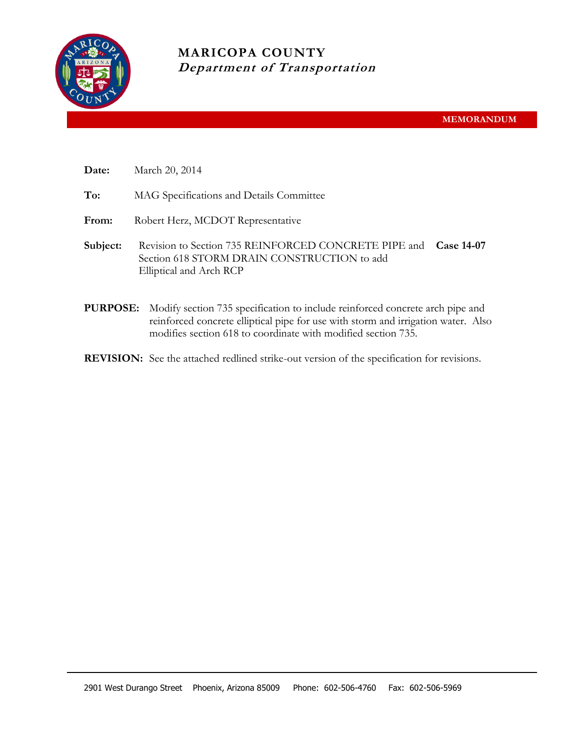

**MARICOPA COUNTY Department of Transportation**

| Date: | March 20, 2014 |  |
|-------|----------------|--|
|-------|----------------|--|

**To:** MAG Specifications and Details Committee

From: Robert Herz, MCDOT Representative

- **Subject:** Revision to Section 735 REINFORCED CONCRETE PIPE and **Case 14-07** Section 618 STORM DRAIN CONSTRUCTION to add Elliptical and Arch RCP
- **PURPOSE:** Modify section 735 specification to include reinforced concrete arch pipe and reinforced concrete elliptical pipe for use with storm and irrigation water. Also modifies section 618 to coordinate with modified section 735.
- **REVISION:** See the attached redlined strike-out version of the specification for revisions.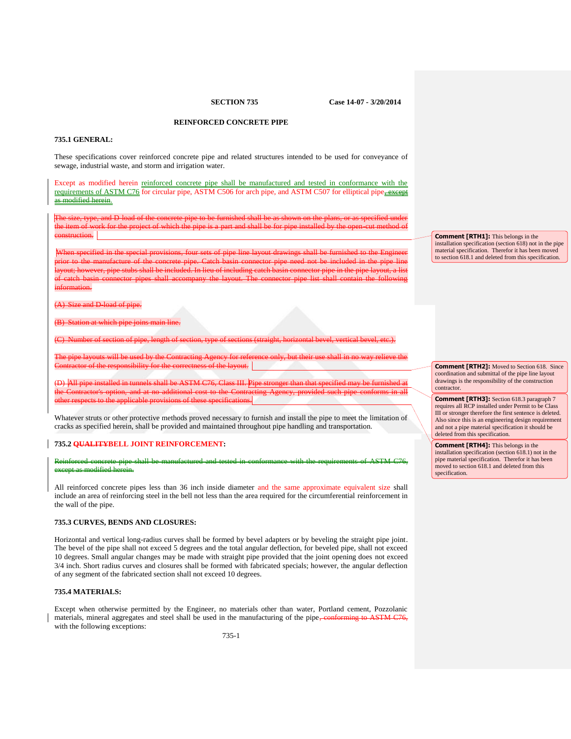**SECTION 735 Case 14-07 - 3/20/2014**

# **REINFORCED CONCRETE PIPE**

#### **735.1 GENERAL:**

These specifications cover reinforced concrete pipe and related structures intended to be used for conveyance of sewage, industrial waste, and storm and irrigation water.

Except as modified herein reinforced concrete pipe shall be manufactured and tested in conformance with the requirements of ASTM C76 for circular pipe, ASTM C506 for arch pipe, and ASTM C507 for elliptical pipe, except as modified herein.

The size, type, and D-load of the concrete pipe to be furnished shall be as shown on the plans, or as specified under the item of work for the project of which the pipe is a part and shall be for pipe installed by the open-cut method of construction.

When specified in the special provisions, four sets of pipe line layout drawings shall be furnished to the Engineer prior to the manufacture of the concrete pipe. Catch basin connector pipe need not be included in the pipe line layout; however, pipe stubs shall be included. In lieu of including catch basin connector pipe in the pipe layout, a list of catch basin connector pipes shall accompany the layout. The connector pipe list shall contain the following information.

 $nd$  D-load of pipe.

n at which

(C) Number of section of pipe, length of section, type of sections (straight, horizontal bevel, vertical bevel, etc.).

The pipe layouts will be used by the Contracting Agency for reference only, but their use shall in no way relieve the Contractor of the responsibility for the correctness of the layout.

(D) All pipe installed in tunnels shall be ASTM C76, Class III. Pipe stronger than that specified may be furnished at the Contractor's option, and at no additional cost to the Contracting Agency, provided such pipe conforms in all other respects to the applicable provisions of these specifications.

Whatever struts or other protective methods proved necessary to furnish and install the pipe to meet the limitation of cracks as specified herein, shall be provided and maintained throughout pipe handling and transportation.

#### **735.2 QUALITYBELL JOINT REINFORCEMENT:**

#### Reinforced concrete pipe shall be manufactured and tested in conformance with the requirements of ASTM C76, except as modified herein.

All reinforced concrete pipes less than 36 inch inside diameter and the same approximate equivalent size shall include an area of reinforcing steel in the bell not less than the area required for the circumferential reinforcement in the wall of the pipe.

## **735.3 CURVES, BENDS AND CLOSURES:**

Horizontal and vertical long-radius curves shall be formed by bevel adapters or by beveling the straight pipe joint. The bevel of the pipe shall not exceed 5 degrees and the total angular deflection, for beveled pipe, shall not exceed 10 degrees. Small angular changes may be made with straight pipe provided that the joint opening does not exceed 3/4 inch. Short radius curves and closures shall be formed with fabricated specials; however, the angular deflection of any segment of the fabricated section shall not exceed 10 degrees.

## **735.4 MATERIALS:**

Except when otherwise permitted by the Engineer, no materials other than water, Portland cement, Pozzolanic materials, mineral aggregates and steel shall be used in the manufacturing of the pipe $\frac{1}{\sqrt{6}}$ with the following exceptions:

**Comment [RTH1]:** This belongs in the installation specification (section 618) not in the pipe material specification. Therefor it has been moved to section 618.1 and deleted from this specification.

**Comment [RTH2]:** Moved to Section 618. Since coordination and submittal of the pipe line layout drawings is the responsibility of the construction contractor.

**Comment [RTH3]:** Section 618.3 paragraph 7 requires all RCP installed under Permit to be Class III or stronger therefore the first sentence is deleted. Also since this is an engineering design requirement and not a pipe material specification it should be deleted from this specification.

**Comment [RTH4]:** This belongs in the installation specification (section 618.1) not in the pipe material specification. Therefor it has been moved to section 618.1 and deleted from this specification.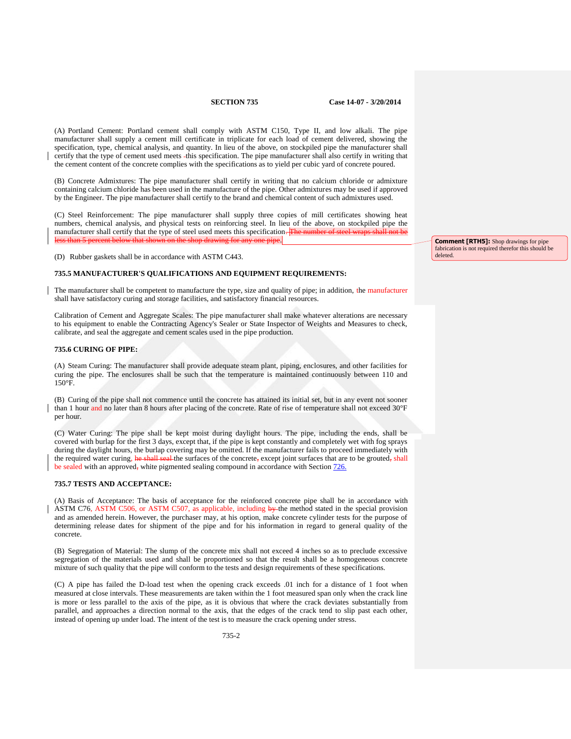(A) Portland Cement: Portland cement shall comply with ASTM C150, Type II, and low alkali. The pipe manufacturer shall supply a cement mill certificate in triplicate for each load of cement delivered, showing the specification, type, chemical analysis, and quantity. In lieu of the above, on stockpiled pipe the manufacturer shall certify that the type of cement used meets this specification. The pipe manufacturer shall also certify in writing that the cement content of the concrete complies with the specifications as to yield per cubic yard of concrete poured.

(B) Concrete Admixtures: The pipe manufacturer shall certify in writing that no calcium chloride or admixture containing calcium chloride has been used in the manufacture of the pipe. Other admixtures may be used if approved by the Engineer. The pipe manufacturer shall certify to the brand and chemical content of such admixtures used.

(C) Steel Reinforcement: The pipe manufacturer shall supply three copies of mill certificates showing heat numbers, chemical analysis, and physical tests on reinforcing steel. In lieu of the above, on stockpiled pipe the manufacturer shall certify that the type of steel used meets this specification. The less than 5 percent below that shown on the shop drawing for any one pipe.

(D) Rubber gaskets shall be in accordance with ASTM C443.

#### **735.5 MANUFACTURER'S QUALIFICATIONS AND EQUIPMENT REQUIREMENTS:**

The manufacturer shall be competent to manufacture the type, size and quality of pipe; in addition, the manufacturer shall have satisfactory curing and storage facilities, and satisfactory financial resources.

Calibration of Cement and Aggregate Scales: The pipe manufacturer shall make whatever alterations are necessary to his equipment to enable the Contracting Agency's Sealer or State Inspector of Weights and Measures to check, calibrate, and seal the aggregate and cement scales used in the pipe production.

#### **735.6 CURING OF PIPE:**

(A) Steam Curing: The manufacturer shall provide adequate steam plant, piping, enclosures, and other facilities for curing the pipe. The enclosures shall be such that the temperature is maintained continuously between 110 and 150°F.

(B) Curing of the pipe shall not commence until the concrete has attained its initial set, but in any event not sooner than 1 hour and no later than 8 hours after placing of the concrete. Rate of rise of temperature shall not exceed 30°F per hour.

(C) Water Curing: The pipe shall be kept moist during daylight hours. The pipe, including the ends, shall be covered with burlap for the first 3 days, except that, if the pipe is kept constantly and completely wet with fog sprays during the daylight hours, the burlap covering may be omitted. If the manufacturer fails to proceed immediately with the required water curing, he shall seal the surfaces of the concrete, except joint surfaces that are to be grouted, shall be sealed with an approved, white pigmented sealing compound in accordance with Section 726.

#### **735.7 TESTS AND ACCEPTANCE:**

(A) Basis of Acceptance: The basis of acceptance for the reinforced concrete pipe shall be in accordance with ASTM C76, ASTM C506, or ASTM C507, as applicable, including by the method stated in the special provision and as amended herein. However, the purchaser may, at his option, make concrete cylinder tests for the purpose of determining release dates for shipment of the pipe and for his information in regard to general quality of the concrete.

(B) Segregation of Material: The slump of the concrete mix shall not exceed 4 inches so as to preclude excessive segregation of the materials used and shall be proportioned so that the result shall be a homogeneous concrete mixture of such quality that the pipe will conform to the tests and design requirements of these specifications.

(C) A pipe has failed the D-load test when the opening crack exceeds .01 inch for a distance of 1 foot when measured at close intervals. These measurements are taken within the 1 foot measured span only when the crack line is more or less parallel to the axis of the pipe, as it is obvious that where the crack deviates substantially from parallel, and approaches a direction normal to the axis, that the edges of the crack tend to slip past each other, instead of opening up under load. The intent of the test is to measure the crack opening under stress.

**Comment [RTH5]:** Shop drawings for pipe fabrication is not required therefor this should be deleted.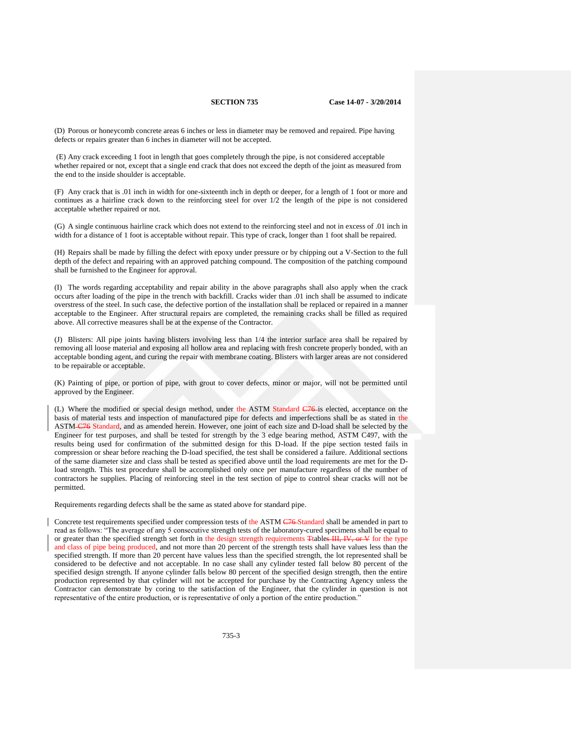(D) Porous or honeycomb concrete areas 6 inches or less in diameter may be removed and repaired. Pipe having defects or repairs greater than 6 inches in diameter will not be accepted.

(E) Any crack exceeding 1 foot in length that goes completely through the pipe, is not considered acceptable whether repaired or not, except that a single end crack that does not exceed the depth of the joint as measured from the end to the inside shoulder is acceptable.

(F) Any crack that is .01 inch in width for one-sixteenth inch in depth or deeper, for a length of 1 foot or more and continues as a hairline crack down to the reinforcing steel for over 1/2 the length of the pipe is not considered acceptable whether repaired or not.

(G) A single continuous hairline crack which does not extend to the reinforcing steel and not in excess of .01 inch in width for a distance of 1 foot is acceptable without repair. This type of crack, longer than 1 foot shall be repaired.

(H) Repairs shall be made by filling the defect with epoxy under pressure or by chipping out a V-Section to the full depth of the defect and repairing with an approved patching compound. The composition of the patching compound shall be furnished to the Engineer for approval.

(I) The words regarding acceptability and repair ability in the above paragraphs shall also apply when the crack occurs after loading of the pipe in the trench with backfill. Cracks wider than .01 inch shall be assumed to indicate overstress of the steel. In such case, the defective portion of the installation shall be replaced or repaired in a manner acceptable to the Engineer. After structural repairs are completed, the remaining cracks shall be filled as required above. All corrective measures shall be at the expense of the Contractor.

(J) Blisters: All pipe joints having blisters involving less than 1/4 the interior surface area shall be repaired by removing all loose material and exposing all hollow area and replacing with fresh concrete properly bonded, with an acceptable bonding agent, and curing the repair with membrane coating. Blisters with larger areas are not considered to be repairable or acceptable.

(K) Painting of pipe, or portion of pipe, with grout to cover defects, minor or major, will not be permitted until approved by the Engineer.

(L) Where the modified or special design method, under the ASTM Standard C76 is elected, acceptance on the basis of material tests and inspection of manufactured pipe for defects and imperfections shall be as stated in the ASTM C76 Standard, and as amended herein. However, one joint of each size and D-load shall be selected by the Engineer for test purposes, and shall be tested for strength by the 3 edge bearing method, ASTM C497, with the results being used for confirmation of the submitted design for this D-load. If the pipe section tested fails in compression or shear before reaching the D-load specified, the test shall be considered a failure. Additional sections of the same diameter size and class shall be tested as specified above until the load requirements are met for the Dload strength. This test procedure shall be accomplished only once per manufacture regardless of the number of contractors he supplies. Placing of reinforcing steel in the test section of pipe to control shear cracks will not be permitted.

Requirements regarding defects shall be the same as stated above for standard pipe.

Concrete test requirements specified under compression tests of the ASTM C76 Standard shall be amended in part to read as follows: "The average of any 5 consecutive strength tests of the laboratory-cured specimens shall be equal to or greater than the specified strength set forth in the design strength requirements Ttables III, IV, or V for the type and class of pipe being produced, and not more than 20 percent of the strength tests shall have values less than the specified strength. If more than 20 percent have values less than the specified strength, the lot represented shall be considered to be defective and not acceptable. In no case shall any cylinder tested fall below 80 percent of the specified design strength. If anyone cylinder falls below 80 percent of the specified design strength, then the entire production represented by that cylinder will not be accepted for purchase by the Contracting Agency unless the Contractor can demonstrate by coring to the satisfaction of the Engineer, that the cylinder in question is not representative of the entire production, or is representative of only a portion of the entire production."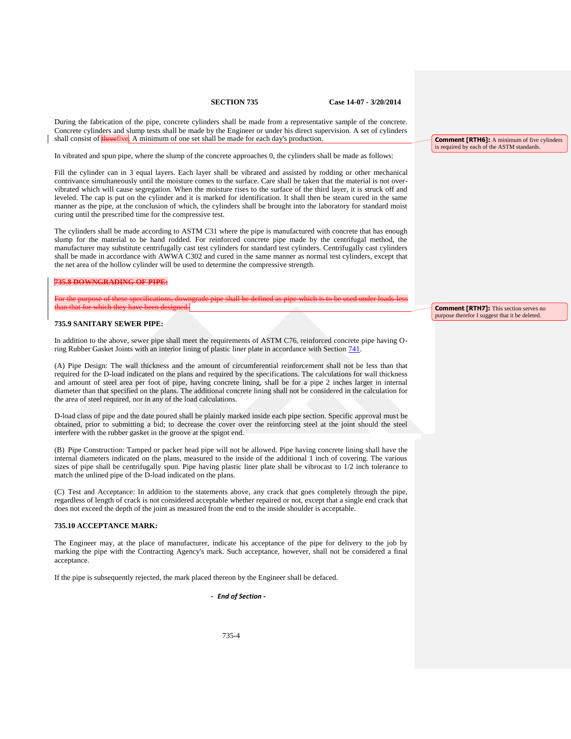During the fabrication of the pipe, concrete cylinders shall be made from a representative sample of the concrete. Concrete cylinders and slump tests shall be made by the Engineer or under his direct supervision. A set of cylinders shall consist of **threefive**. A minimum of one set shall be made for each day's production.

In vibrated and spun pipe, where the slump of the concrete approaches 0, the cylinders shall be made as follows:

Fill the cylinder can in 3 equal layers. Each layer shall be vibrated and assisted by rodding or other mechanical contrivance simultaneously until the moisture comes to the surface. Care shall be taken that the material is not overvibrated which will cause segregation. When the moisture rises to the surface of the third layer, it is struck off and leveled. The cap is put on the cylinder and it is marked for identification. It shall then be steam cured in the same manner as the pipe, at the conclusion of which, the cylinders shall be brought into the laboratory for standard moist curing until the prescribed time for the compressive test.

The cylinders shall be made according to ASTM C31 where the pipe is manufactured with concrete that has enough slump for the material to be hand rodded. For reinforced concrete pipe made by the centrifugal method, the manufacturer may substitute centrifugally cast test cylinders for standard test cylinders. Centrifugally cast cylinders shall be made in accordance with AWWA C302 and cured in the same manner as normal test cylinders, except that the net area of the hollow cylinder will be used to determine the compressive strength.

#### **735.8 DOWNGRADING OF PIPE:**

For the purpose of these specifications, downgrade pipe shall be defined as pipe which is to be used under loads less than that for which they have been designed.

### **735.9 SANITARY SEWER PIPE:**

In addition to the above, sewer pipe shall meet the requirements of ASTM C76, reinforced concrete pipe having Oring Rubber Gasket Joints with an interior lining of plastic liner plate in accordance with Section 741.

(A) Pipe Design: The wall thickness and the amount of circumferential reinforcement shall not be less than that required for the D-load indicated on the plans and required by the specifications. The calculations for wall thickness and amount of steel area per foot of pipe, having concrete lining, shall be for a pipe 2 inches larger in internal diameter than that specified on the plans. The additional concrete lining shall not be considered in the calculation for the area of steel required, nor in any of the load calculations.

D-load class of pipe and the date poured shall be plainly marked inside each pipe section. Specific approval must be obtained, prior to submitting a bid; to decrease the cover over the reinforcing steel at the joint should the steel interfere with the rubber gasket in the groove at the spigot end.

(B) Pipe Construction: Tamped or packer head pipe will not be allowed. Pipe having concrete lining shall have the internal diameters indicated on the plans, measured to the inside of the additional 1 inch of covering. The various sizes of pipe shall be centrifugally spun. Pipe having plastic liner plate shall be vibrocast to 1/2 inch tolerance to match the unlined pipe of the D-load indicated on the plans.

(C) Test and Acceptance: In addition to the statements above, any crack that goes completely through the pipe, regardless of length of crack is not considered acceptable whether repaired or not, except that a single end crack that does not exceed the depth of the joint as measured from the end to the inside shoulder is acceptable.

#### **735.10 ACCEPTANCE MARK:**

The Engineer may, at the place of manufacturer, indicate his acceptance of the pipe for delivery to the job by marking the pipe with the Contracting Agency's mark. Such acceptance, however, shall not be considered a final acceptance.

If the pipe is subsequently rejected, the mark placed thereon by the Engineer shall be defaced.

- *End of Section* **-**

**Comment [RTH6]:** A minimum of five cylinders is required by each of the ASTM standards.

**Comment [RTH7]:** This section serves no purpose therefor I suggest that it be deleted.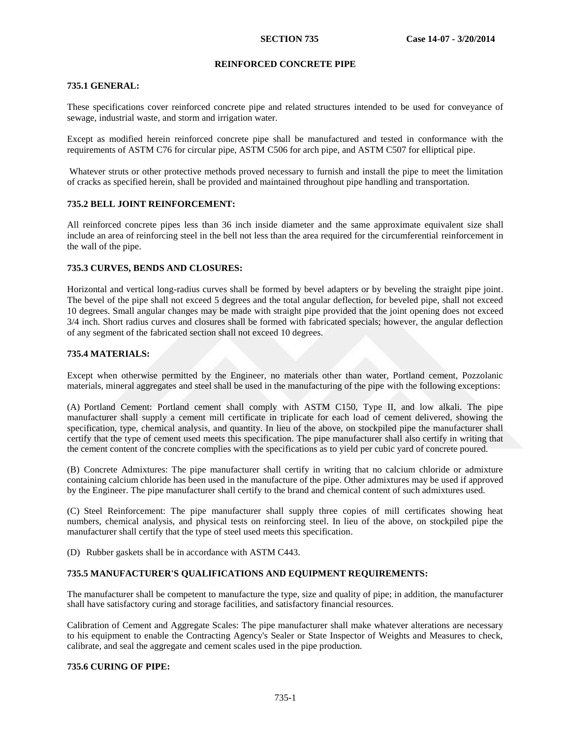# **REINFORCED CONCRETE PIPE**

# **735.1 GENERAL:**

These specifications cover reinforced concrete pipe and related structures intended to be used for conveyance of sewage, industrial waste, and storm and irrigation water.

Except as modified herein reinforced concrete pipe shall be manufactured and tested in conformance with the requirements of ASTM C76 for circular pipe, ASTM C506 for arch pipe, and ASTM C507 for elliptical pipe.

Whatever struts or other protective methods proved necessary to furnish and install the pipe to meet the limitation of cracks as specified herein, shall be provided and maintained throughout pipe handling and transportation.

# **735.2 BELL JOINT REINFORCEMENT:**

All reinforced concrete pipes less than 36 inch inside diameter and the same approximate equivalent size shall include an area of reinforcing steel in the bell not less than the area required for the circumferential reinforcement in the wall of the pipe.

## **735.3 CURVES, BENDS AND CLOSURES:**

Horizontal and vertical long-radius curves shall be formed by bevel adapters or by beveling the straight pipe joint. The bevel of the pipe shall not exceed 5 degrees and the total angular deflection, for beveled pipe, shall not exceed 10 degrees. Small angular changes may be made with straight pipe provided that the joint opening does not exceed 3/4 inch. Short radius curves and closures shall be formed with fabricated specials; however, the angular deflection of any segment of the fabricated section shall not exceed 10 degrees.

# **735.4 MATERIALS:**

Except when otherwise permitted by the Engineer, no materials other than water, Portland cement, Pozzolanic materials, mineral aggregates and steel shall be used in the manufacturing of the pipe with the following exceptions:

(A) Portland Cement: Portland cement shall comply with ASTM C150, Type II, and low alkali. The pipe manufacturer shall supply a cement mill certificate in triplicate for each load of cement delivered, showing the specification, type, chemical analysis, and quantity. In lieu of the above, on stockpiled pipe the manufacturer shall certify that the type of cement used meets this specification. The pipe manufacturer shall also certify in writing that the cement content of the concrete complies with the specifications as to yield per cubic yard of concrete poured.

(B) Concrete Admixtures: The pipe manufacturer shall certify in writing that no calcium chloride or admixture containing calcium chloride has been used in the manufacture of the pipe. Other admixtures may be used if approved by the Engineer. The pipe manufacturer shall certify to the brand and chemical content of such admixtures used.

(C) Steel Reinforcement: The pipe manufacturer shall supply three copies of mill certificates showing heat numbers, chemical analysis, and physical tests on reinforcing steel. In lieu of the above, on stockpiled pipe the manufacturer shall certify that the type of steel used meets this specification.

(D) Rubber gaskets shall be in accordance with ASTM C443.

# **735.5 MANUFACTURER'S QUALIFICATIONS AND EQUIPMENT REQUIREMENTS:**

The manufacturer shall be competent to manufacture the type, size and quality of pipe; in addition, the manufacturer shall have satisfactory curing and storage facilities, and satisfactory financial resources.

Calibration of Cement and Aggregate Scales: The pipe manufacturer shall make whatever alterations are necessary to his equipment to enable the Contracting Agency's Sealer or State Inspector of Weights and Measures to check, calibrate, and seal the aggregate and cement scales used in the pipe production.

# **735.6 CURING OF PIPE:**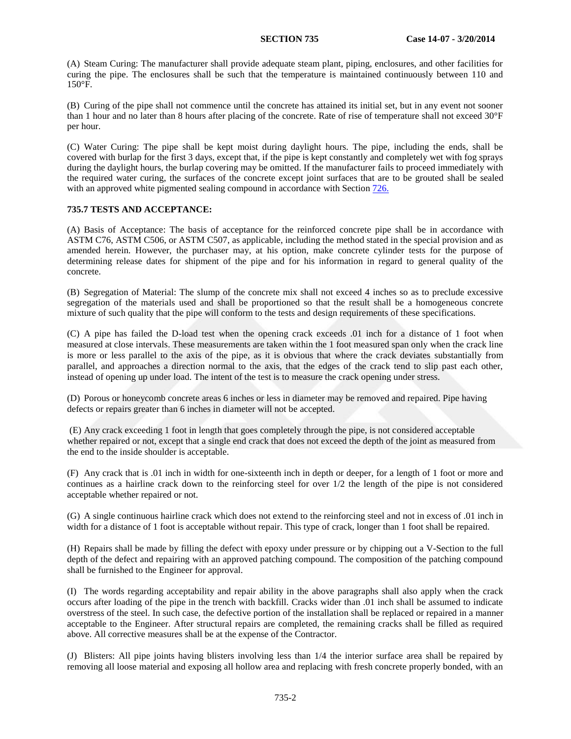(A) Steam Curing: The manufacturer shall provide adequate steam plant, piping, enclosures, and other facilities for curing the pipe. The enclosures shall be such that the temperature is maintained continuously between 110 and 150°F.

(B) Curing of the pipe shall not commence until the concrete has attained its initial set, but in any event not sooner than 1 hour and no later than 8 hours after placing of the concrete. Rate of rise of temperature shall not exceed 30°F per hour.

(C) Water Curing: The pipe shall be kept moist during daylight hours. The pipe, including the ends, shall be covered with burlap for the first 3 days, except that, if the pipe is kept constantly and completely wet with fog sprays during the daylight hours, the burlap covering may be omitted. If the manufacturer fails to proceed immediately with the required water curing, the surfaces of the concrete except joint surfaces that are to be grouted shall be sealed with an approved white pigmented sealing compound in accordance with Section 726.

# **735.7 TESTS AND ACCEPTANCE:**

(A) Basis of Acceptance: The basis of acceptance for the reinforced concrete pipe shall be in accordance with ASTM C76, ASTM C506, or ASTM C507, as applicable, including the method stated in the special provision and as amended herein. However, the purchaser may, at his option, make concrete cylinder tests for the purpose of determining release dates for shipment of the pipe and for his information in regard to general quality of the concrete.

(B) Segregation of Material: The slump of the concrete mix shall not exceed 4 inches so as to preclude excessive segregation of the materials used and shall be proportioned so that the result shall be a homogeneous concrete mixture of such quality that the pipe will conform to the tests and design requirements of these specifications.

(C) A pipe has failed the D-load test when the opening crack exceeds .01 inch for a distance of 1 foot when measured at close intervals. These measurements are taken within the 1 foot measured span only when the crack line is more or less parallel to the axis of the pipe, as it is obvious that where the crack deviates substantially from parallel, and approaches a direction normal to the axis, that the edges of the crack tend to slip past each other, instead of opening up under load. The intent of the test is to measure the crack opening under stress.

(D) Porous or honeycomb concrete areas 6 inches or less in diameter may be removed and repaired. Pipe having defects or repairs greater than 6 inches in diameter will not be accepted.

(E) Any crack exceeding 1 foot in length that goes completely through the pipe, is not considered acceptable whether repaired or not, except that a single end crack that does not exceed the depth of the joint as measured from the end to the inside shoulder is acceptable.

(F) Any crack that is .01 inch in width for one-sixteenth inch in depth or deeper, for a length of 1 foot or more and continues as a hairline crack down to the reinforcing steel for over 1/2 the length of the pipe is not considered acceptable whether repaired or not.

(G) A single continuous hairline crack which does not extend to the reinforcing steel and not in excess of .01 inch in width for a distance of 1 foot is acceptable without repair. This type of crack, longer than 1 foot shall be repaired.

(H) Repairs shall be made by filling the defect with epoxy under pressure or by chipping out a V-Section to the full depth of the defect and repairing with an approved patching compound. The composition of the patching compound shall be furnished to the Engineer for approval.

(I) The words regarding acceptability and repair ability in the above paragraphs shall also apply when the crack occurs after loading of the pipe in the trench with backfill. Cracks wider than .01 inch shall be assumed to indicate overstress of the steel. In such case, the defective portion of the installation shall be replaced or repaired in a manner acceptable to the Engineer. After structural repairs are completed, the remaining cracks shall be filled as required above. All corrective measures shall be at the expense of the Contractor.

(J) Blisters: All pipe joints having blisters involving less than 1/4 the interior surface area shall be repaired by removing all loose material and exposing all hollow area and replacing with fresh concrete properly bonded, with an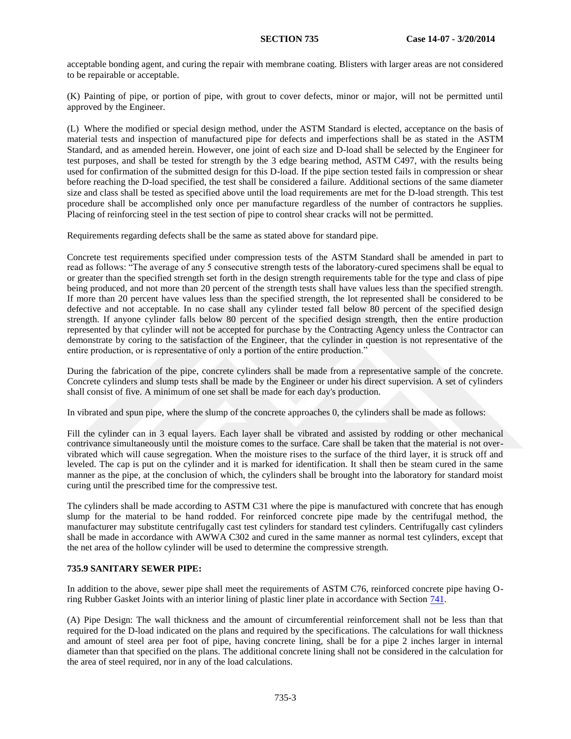acceptable bonding agent, and curing the repair with membrane coating. Blisters with larger areas are not considered to be repairable or acceptable.

(K) Painting of pipe, or portion of pipe, with grout to cover defects, minor or major, will not be permitted until approved by the Engineer.

(L) Where the modified or special design method, under the ASTM Standard is elected, acceptance on the basis of material tests and inspection of manufactured pipe for defects and imperfections shall be as stated in the ASTM Standard, and as amended herein. However, one joint of each size and D-load shall be selected by the Engineer for test purposes, and shall be tested for strength by the 3 edge bearing method, ASTM C497, with the results being used for confirmation of the submitted design for this D-load. If the pipe section tested fails in compression or shear before reaching the D-load specified, the test shall be considered a failure. Additional sections of the same diameter size and class shall be tested as specified above until the load requirements are met for the D-load strength. This test procedure shall be accomplished only once per manufacture regardless of the number of contractors he supplies. Placing of reinforcing steel in the test section of pipe to control shear cracks will not be permitted.

Requirements regarding defects shall be the same as stated above for standard pipe.

Concrete test requirements specified under compression tests of the ASTM Standard shall be amended in part to read as follows: "The average of any 5 consecutive strength tests of the laboratory-cured specimens shall be equal to or greater than the specified strength set forth in the design strength requirements table for the type and class of pipe being produced, and not more than 20 percent of the strength tests shall have values less than the specified strength. If more than 20 percent have values less than the specified strength, the lot represented shall be considered to be defective and not acceptable. In no case shall any cylinder tested fall below 80 percent of the specified design strength. If anyone cylinder falls below 80 percent of the specified design strength, then the entire production represented by that cylinder will not be accepted for purchase by the Contracting Agency unless the Contractor can demonstrate by coring to the satisfaction of the Engineer, that the cylinder in question is not representative of the entire production, or is representative of only a portion of the entire production."

During the fabrication of the pipe, concrete cylinders shall be made from a representative sample of the concrete. Concrete cylinders and slump tests shall be made by the Engineer or under his direct supervision. A set of cylinders shall consist of five. A minimum of one set shall be made for each day's production.

In vibrated and spun pipe, where the slump of the concrete approaches 0, the cylinders shall be made as follows:

Fill the cylinder can in 3 equal layers. Each layer shall be vibrated and assisted by rodding or other mechanical contrivance simultaneously until the moisture comes to the surface. Care shall be taken that the material is not overvibrated which will cause segregation. When the moisture rises to the surface of the third layer, it is struck off and leveled. The cap is put on the cylinder and it is marked for identification. It shall then be steam cured in the same manner as the pipe, at the conclusion of which, the cylinders shall be brought into the laboratory for standard moist curing until the prescribed time for the compressive test.

The cylinders shall be made according to ASTM C31 where the pipe is manufactured with concrete that has enough slump for the material to be hand rodded. For reinforced concrete pipe made by the centrifugal method, the manufacturer may substitute centrifugally cast test cylinders for standard test cylinders. Centrifugally cast cylinders shall be made in accordance with AWWA C302 and cured in the same manner as normal test cylinders, except that the net area of the hollow cylinder will be used to determine the compressive strength.

# **735.9 SANITARY SEWER PIPE:**

In addition to the above, sewer pipe shall meet the requirements of ASTM C76, reinforced concrete pipe having Oring Rubber Gasket Joints with an interior lining of plastic liner plate in accordance with Section 741.

(A) Pipe Design: The wall thickness and the amount of circumferential reinforcement shall not be less than that required for the D-load indicated on the plans and required by the specifications. The calculations for wall thickness and amount of steel area per foot of pipe, having concrete lining, shall be for a pipe 2 inches larger in internal diameter than that specified on the plans. The additional concrete lining shall not be considered in the calculation for the area of steel required, nor in any of the load calculations.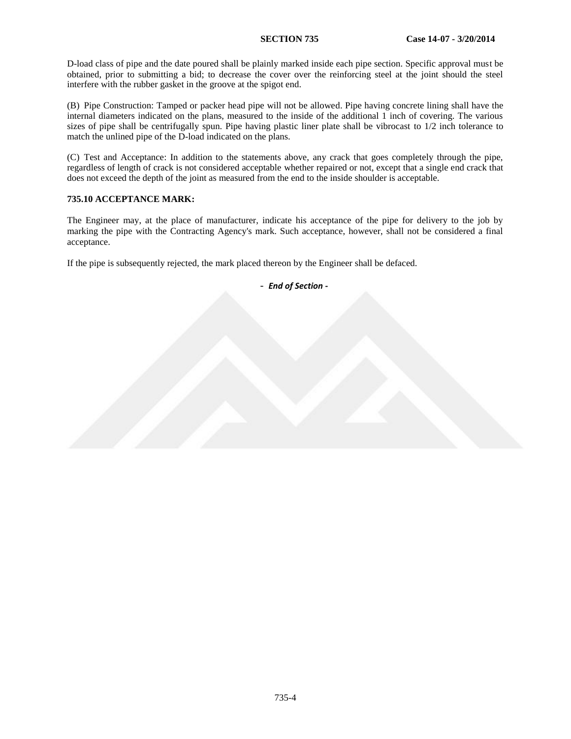D-load class of pipe and the date poured shall be plainly marked inside each pipe section. Specific approval must be obtained, prior to submitting a bid; to decrease the cover over the reinforcing steel at the joint should the steel interfere with the rubber gasket in the groove at the spigot end.

(B) Pipe Construction: Tamped or packer head pipe will not be allowed. Pipe having concrete lining shall have the internal diameters indicated on the plans, measured to the inside of the additional 1 inch of covering. The various sizes of pipe shall be centrifugally spun. Pipe having plastic liner plate shall be vibrocast to 1/2 inch tolerance to match the unlined pipe of the D-load indicated on the plans.

(C) Test and Acceptance: In addition to the statements above, any crack that goes completely through the pipe, regardless of length of crack is not considered acceptable whether repaired or not, except that a single end crack that does not exceed the depth of the joint as measured from the end to the inside shoulder is acceptable.

# **735.10 ACCEPTANCE MARK:**

The Engineer may, at the place of manufacturer, indicate his acceptance of the pipe for delivery to the job by marking the pipe with the Contracting Agency's mark. Such acceptance, however, shall not be considered a final acceptance.

If the pipe is subsequently rejected, the mark placed thereon by the Engineer shall be defaced.

- *End of Section* **-**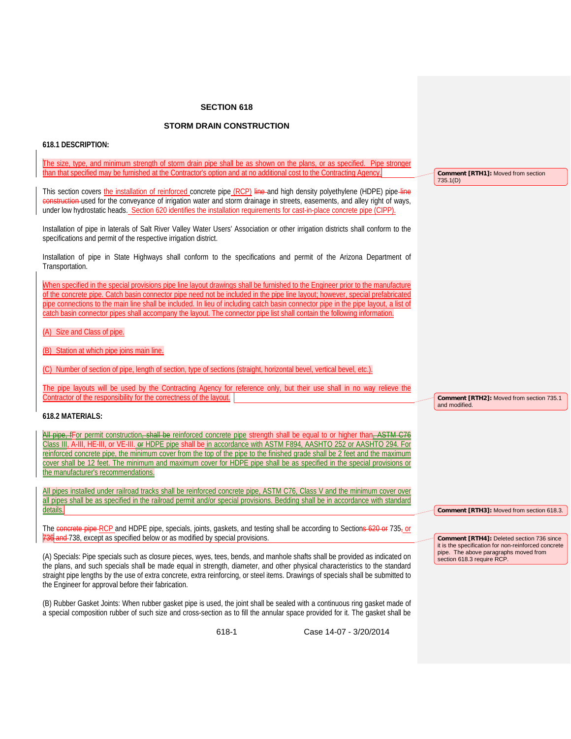# **SECTION 618**

# **STORM DRAIN CONSTRUCTION**

# **618.1 DESCRIPTION:**

| The size, type, and minimum strength of storm drain pipe shall be as shown on the plans, or as specified. Pipe stronger                                                                                                                                                                                                                                                                                                                                                                                                                                                                |                                                                                                                            |  |
|----------------------------------------------------------------------------------------------------------------------------------------------------------------------------------------------------------------------------------------------------------------------------------------------------------------------------------------------------------------------------------------------------------------------------------------------------------------------------------------------------------------------------------------------------------------------------------------|----------------------------------------------------------------------------------------------------------------------------|--|
| than that specified may be furnished at the Contractor's option and at no additional cost to the Contracting Agency.                                                                                                                                                                                                                                                                                                                                                                                                                                                                   | Comment [RTH1]: Moved from section<br>735.1(D)                                                                             |  |
| This section covers the installation of reinforced concrete pipe (RCP) line-and high density polyethylene (HDPE) pipe-line<br>construction-used for the conveyance of irrigation water and storm drainage in streets, easements, and alley right of ways,<br>under low hydrostatic heads. Section 620 identifies the installation requirements for cast-in-place concrete pipe (CIPP).                                                                                                                                                                                                 |                                                                                                                            |  |
| Installation of pipe in laterals of Salt River Valley Water Users' Association or other irrigation districts shall conform to the<br>specifications and permit of the respective irrigation district.                                                                                                                                                                                                                                                                                                                                                                                  |                                                                                                                            |  |
| Installation of pipe in State Highways shall conform to the specifications and permit of the Arizona Department of<br>Transportation.                                                                                                                                                                                                                                                                                                                                                                                                                                                  |                                                                                                                            |  |
| When specified in the special provisions pipe line layout drawings shall be furnished to the Engineer prior to the manufacture<br>of the concrete pipe. Catch basin connector pipe need not be included in the pipe line layout; however, special prefabricated<br>pipe connections to the main line shall be included. In lieu of including catch basin connector pipe in the pipe layout, a list of<br>catch basin connector pipes shall accompany the layout. The connector pipe list shall contain the following information.                                                      |                                                                                                                            |  |
| (A) Size and Class of pipe.                                                                                                                                                                                                                                                                                                                                                                                                                                                                                                                                                            |                                                                                                                            |  |
| (B) Station at which pipe joins main line.                                                                                                                                                                                                                                                                                                                                                                                                                                                                                                                                             |                                                                                                                            |  |
| (C) Number of section of pipe, length of section, type of sections (straight, horizontal bevel, vertical bevel, etc.).                                                                                                                                                                                                                                                                                                                                                                                                                                                                 |                                                                                                                            |  |
| The pipe layouts will be used by the Contracting Agency for reference only, but their use shall in no way relieve the<br>Contractor of the responsibility for the correctness of the layout.                                                                                                                                                                                                                                                                                                                                                                                           | Comment [RTH2]: Moved from section 735.1<br>and modified.                                                                  |  |
| 618.2 MATERIALS:                                                                                                                                                                                                                                                                                                                                                                                                                                                                                                                                                                       |                                                                                                                            |  |
| <del>All pipe, f</del> For permit construction <del>, shall be</del> reinforced concrete pipe strength shall be equal to or higher than <del>, ASTM C76</del><br>Class III, A-III, HE-III, or VE-III. of HDPE pipe shall be in accordance with ASTM F894, AASHTO 252 or AASHTO 294. For<br>reinforced concrete pipe, the minimum cover from the top of the pipe to the finished grade shall be 2 feet and the maximum<br>cover shall be 12 feet. The minimum and maximum cover for HDPE pipe shall be as specified in the special provisions or<br>the manufacturer's recommendations. |                                                                                                                            |  |
| All pipes installed under railroad tracks shall be reinforced concrete pipe, ASTM C76, Class V and the minimum cover over<br>all pipes shall be as specified in the railroad permit and/or special provisions. Bedding shall be in accordance with standard<br>details.                                                                                                                                                                                                                                                                                                                | Comment [RTH3]: Moved from section 618.3.                                                                                  |  |
| The concrete pipe RCP and HDPE pipe, specials, joints, gaskets, and testing shall be according to Sections 620 or 735-or<br>736 and 738, except as specified below or as modified by special provisions.                                                                                                                                                                                                                                                                                                                                                                               | Comment [RTH4]: Deleted section 736 since                                                                                  |  |
| (A) Specials: Pipe specials such as closure pieces, wyes, tees, bends, and manhole shafts shall be provided as indicated on<br>the plans, and such specials shall be made equal in strength, diameter, and other physical characteristics to the standard<br>straight pipe lengths by the use of extra concrete, extra reinforcing, or steel items. Drawings of specials shall be submitted to<br>the Engineer for approval before their fabrication.                                                                                                                                  | it is the specification for non-reinforced concrete<br>pipe. The above paragraphs moved from<br>section 618.3 require RCP. |  |
| (B) Rubber Gasket Joints: When rubber gasket pipe is used, the joint shall be sealed with a continuous ring gasket made of<br>a special composition rubber of such size and cross-section as to fill the annular space provided for it. The gasket shall be                                                                                                                                                                                                                                                                                                                            |                                                                                                                            |  |

618-1 Case 14-07 - 3/20/2014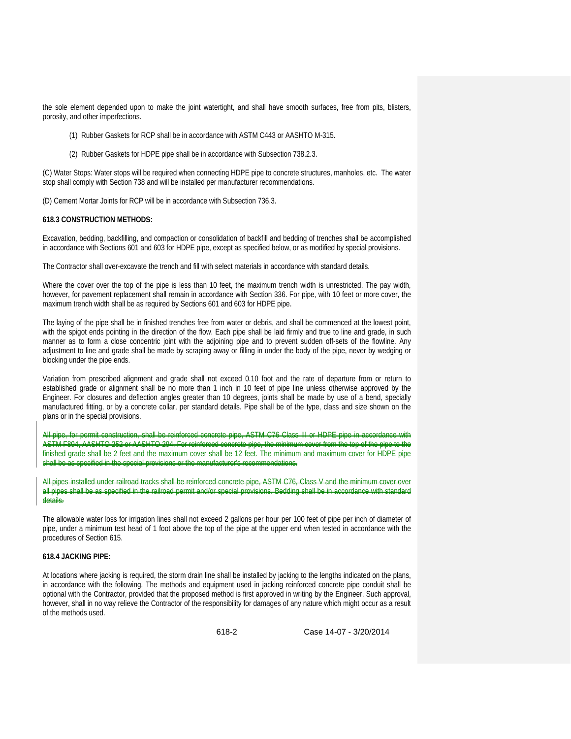the sole element depended upon to make the joint watertight, and shall have smooth surfaces, free from pits, blisters, porosity, and other imperfections.

- (1) Rubber Gaskets for RCP shall be in accordance with ASTM C443 or AASHTO M-315.
- (2) Rubber Gaskets for HDPE pipe shall be in accordance with Subsection 738.2.3.

(C) Water Stops: Water stops will be required when connecting HDPE pipe to concrete structures, manholes, etc. The water stop shall comply with Section 738 and will be installed per manufacturer recommendations.

(D) Cement Mortar Joints for RCP will be in accordance with Subsection 736.3.

#### **618.3 CONSTRUCTION METHODS:**

Excavation, bedding, backfilling, and compaction or consolidation of backfill and bedding of trenches shall be accomplished in accordance with Sections 601 and 603 for HDPE pipe, except as specified below, or as modified by special provisions.

The Contractor shall over-excavate the trench and fill with select materials in accordance with standard details.

Where the cover over the top of the pipe is less than 10 feet, the maximum trench width is unrestricted. The pay width, however, for pavement replacement shall remain in accordance with Section 336. For pipe, with 10 feet or more cover, the maximum trench width shall be as required by Sections 601 and 603 for HDPE pipe.

The laying of the pipe shall be in finished trenches free from water or debris, and shall be commenced at the lowest point, with the spigot ends pointing in the direction of the flow. Each pipe shall be laid firmly and true to line and grade, in such manner as to form a close concentric joint with the adjoining pipe and to prevent sudden off-sets of the flowline. Any adjustment to line and grade shall be made by scraping away or filling in under the body of the pipe, never by wedging or blocking under the pipe ends.

Variation from prescribed alignment and grade shall not exceed 0.10 foot and the rate of departure from or return to established grade or alignment shall be no more than 1 inch in 10 feet of pipe line unless otherwise approved by the Engineer. For closures and deflection angles greater than 10 degrees, joints shall be made by use of a bend, specially manufactured fitting, or by a concrete collar, per standard details. Pipe shall be of the type, class and size shown on the plans or in the special provisions.

All pipe, for permit construction, shall be reinforced concrete pipe, ASTM C76 Class III or HDPE pipe in accordance with ASTM F894, AASHTO 252 or AASHTO 294. For reinforced concrete pipe, the minimum cover from the top of the finished grade shall be 2 feet and the maximum cover shall be 12 feet. The minimum and maximum shall be as specified in the special provisions or the manufacturer's recommendations.

railroad tracks shall be reinforced concrete pipe, ASTM C76 all pipes shall be as specified in the railroad permit and/or special provisions. Bedding shall be in a details.

The allowable water loss for irrigation lines shall not exceed 2 gallons per hour per 100 feet of pipe per inch of diameter of pipe, under a minimum test head of 1 foot above the top of the pipe at the upper end when tested in accordance with the procedures of Section 615.

#### **618.4 JACKING PIPE:**

At locations where jacking is required, the storm drain line shall be installed by jacking to the lengths indicated on the plans, in accordance with the following. The methods and equipment used in jacking reinforced concrete pipe conduit shall be optional with the Contractor, provided that the proposed method is first approved in writing by the Engineer. Such approval, however, shall in no way relieve the Contractor of the responsibility for damages of any nature which might occur as a result of the methods used.

618-2 Case 14-07 - 3/20/2014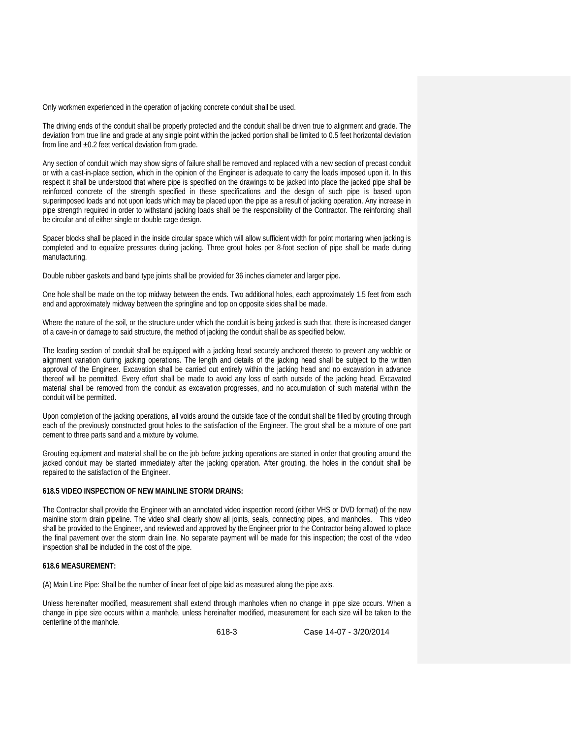Only workmen experienced in the operation of jacking concrete conduit shall be used.

The driving ends of the conduit shall be properly protected and the conduit shall be driven true to alignment and grade. The deviation from true line and grade at any single point within the jacked portion shall be limited to 0.5 feet horizontal deviation from line and  $\pm 0.2$  feet vertical deviation from grade.

Any section of conduit which may show signs of failure shall be removed and replaced with a new section of precast conduit or with a cast-in-place section, which in the opinion of the Engineer is adequate to carry the loads imposed upon it. In this respect it shall be understood that where pipe is specified on the drawings to be jacked into place the jacked pipe shall be reinforced concrete of the strength specified in these specifications and the design of such pipe is based upon superimposed loads and not upon loads which may be placed upon the pipe as a result of jacking operation. Any increase in pipe strength required in order to withstand jacking loads shall be the responsibility of the Contractor. The reinforcing shall be circular and of either single or double cage design.

Spacer blocks shall be placed in the inside circular space which will allow sufficient width for point mortaring when jacking is completed and to equalize pressures during jacking. Three grout holes per 8-foot section of pipe shall be made during manufacturing.

Double rubber gaskets and band type joints shall be provided for 36 inches diameter and larger pipe.

One hole shall be made on the top midway between the ends. Two additional holes, each approximately 1.5 feet from each end and approximately midway between the springline and top on opposite sides shall be made.

Where the nature of the soil, or the structure under which the conduit is being jacked is such that, there is increased danger of a cave-in or damage to said structure, the method of jacking the conduit shall be as specified below.

The leading section of conduit shall be equipped with a jacking head securely anchored thereto to prevent any wobble or alignment variation during jacking operations. The length and details of the jacking head shall be subject to the written approval of the Engineer. Excavation shall be carried out entirely within the jacking head and no excavation in advance thereof will be permitted. Every effort shall be made to avoid any loss of earth outside of the jacking head. Excavated material shall be removed from the conduit as excavation progresses, and no accumulation of such material within the conduit will be permitted.

Upon completion of the jacking operations, all voids around the outside face of the conduit shall be filled by grouting through each of the previously constructed grout holes to the satisfaction of the Engineer. The grout shall be a mixture of one part cement to three parts sand and a mixture by volume.

Grouting equipment and material shall be on the job before jacking operations are started in order that grouting around the jacked conduit may be started immediately after the jacking operation. After grouting, the holes in the conduit shall be repaired to the satisfaction of the Engineer.

### **618.5 VIDEO INSPECTION OF NEW MAINLINE STORM DRAINS:**

The Contractor shall provide the Engineer with an annotated video inspection record (either VHS or DVD format) of the new mainline storm drain pipeline. The video shall clearly show all joints, seals, connecting pipes, and manholes. This video shall be provided to the Engineer, and reviewed and approved by the Engineer prior to the Contractor being allowed to place the final pavement over the storm drain line. No separate payment will be made for this inspection; the cost of the video inspection shall be included in the cost of the pipe.

### **618.6 MEASUREMENT:**

(A) Main Line Pipe: Shall be the number of linear feet of pipe laid as measured along the pipe axis.

Unless hereinafter modified, measurement shall extend through manholes when no change in pipe size occurs. When a change in pipe size occurs within a manhole, unless hereinafter modified, measurement for each size will be taken to the centerline of the manhole.

618-3 Case 14-07 - 3/20/2014